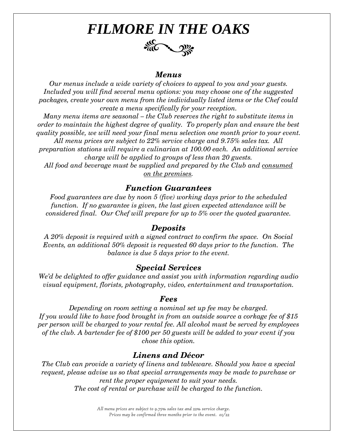# *FILMORE IN THE OAKS* ACCOUNTY

#### *Menus*

*Our menus include a wide variety of choices to appeal to you and your guests. Included you will find several menu options: you may choose one of the suggested packages, create your own menu from the individually listed items or the Chef could create a menu specifically for your reception.*

*Many menu items are seasonal – the Club reserves the right to substitute items in order to maintain the highest degree of quality. To properly plan and ensure the best quality possible, we will need your final menu selection one month prior to your event.*

*All menu prices are subject to 22% service charge and 9.75% sales tax. All preparation stations will require a culinarian at 100.00 each. An additional service charge will be applied to groups of less than 20 guests.* 

*All food and beverage must be supplied and prepared by the Club and consumed on the premises.*

#### *Function Guarantees*

*Food guarantees are due by noon 5 (five) working days prior to the scheduled function. If no guarantee is given, the last given expected attendance will be considered final. Our Chef will prepare for up to 5% over the quoted guarantee.*

#### *Deposits*

*A 20% deposit is required with a signed contract to confirm the space. On Social Events, an additional 50% deposit is requested 60 days prior to the function. The balance is due 5 days prior to the event.*

#### *Special Services*

*We'd be delighted to offer guidance and assist you with information regarding audio visual equipment, florists, photography, video, entertainment and transportation.*

#### *Fees*

*Depending on room setting a nominal set up fee may be charged. If you would like to have food brought in from an outside source a corkage fee of \$15 per person will be charged to your rental fee. All alcohol must be served by employees of the club. A bartender fee of \$100 per 50 guests will be added to your event if you chose this option.*

### *Linens and Décor*

*The Club can provide a variety of linens and tableware. Should you have a special request, please advise us so that special arrangements may be made to purchase or rent the proper equipment to suit your needs. The cost of rental or purchase will be charged to the function.*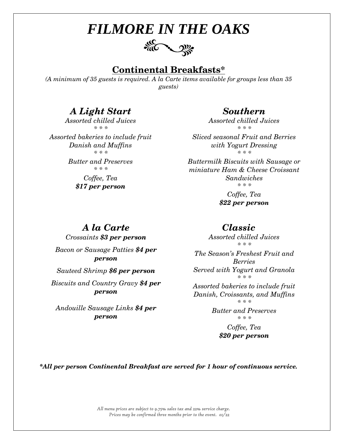

## **Continental Breakfasts\***

*(A minimum of 35 guests is required. A la Carte items available for groups less than 35 guests)*

### *A Light Start*

*Assorted chilled Juices \* \* \**

*Assorted bakeries to include fruit Danish and Muffins \* \* \**

> *Butter and Preserves \* \* \**

> > *Coffee, Tea \$17 per person*

### *Southern*

*Assorted chilled Juices \* \* \**

*Sliced seasonal Fruit and Berries with Yogurt Dressing \* \* \**

*Buttermilk Biscuits with Sausage or miniature Ham & Cheese Croissant Sandwiches \* \* \**

> *Coffee, Tea \$22 per person*

### *Classic*

*Assorted chilled Juices \* \* \**

*The Season's Freshest Fruit and Berries Served with Yogurt and Granola \* \* \**

*Assorted bakeries to include fruit Danish, Croissants, and Muffins \* \* \**

> *Butter and Preserves \* \* \**

> > *Coffee, Tea \$20 per person*

*\*All per person Continental Breakfast are served for 1 hour of continuous service.*

*All menu prices are subject to 9.75% sales tax and 22% service charge. Prices may be confirmed three months prior to the event. 01/22* 

## *A la Carte*

*Crossaints \$3 per person Bacon or Sausage Patties \$4 per person* 

*Sauteed Shrimp \$6 per person* 

*Biscuits and Country Gravy \$4 per person* 

*Andouille Sausage Links \$4 per person*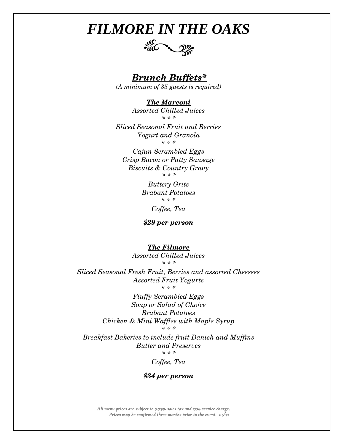

 *Brunch Buffets\**

*(A minimum of 35 guests is required)*

*The Marconi Assorted Chilled Juices \* \* \**

*Sliced Seasonal Fruit and Berries Yogurt and Granola \* \* \**

*Cajun Scrambled Eggs Crisp Bacon or Patty Sausage Biscuits & Country Gravy \* \* \**

> *Buttery Grits Brabant Potatoes \* \* \* Coffee, Tea*

*\$29 per person*

*The Filmore*

*Assorted Chilled Juices \* \* \**

*Sliced Seasonal Fresh Fruit, Berries and assorted Cheesees Assorted Fruit Yogurts \* \* \**

> *Fluffy Scrambled Eggs Soup or Salad of Choice Brabant Potatoes Chicken & Mini Waffles with Maple Syrup \* \* \**

*Breakfast Bakeries to include fruit Danish and Muffins Butter and Preserves \* \* \**

*Coffee, Tea*

#### *\$34 per person*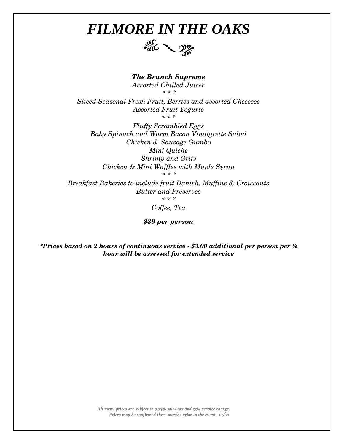

*The Brunch Supreme*

*Assorted Chilled Juices \* \* \**

*Sliced Seasonal Fresh Fruit, Berries and assorted Cheesees Assorted Fruit Yogurts \* \* \**

*Fluffy Scrambled Eggs Baby Spinach and Warm Bacon Vinaigrette Salad Chicken & Sausage Gumbo Mini Quiche Shrimp and Grits Chicken & Mini Waffles with Maple Syrup*

*\* \* \**

*Breakfast Bakeries to include fruit Danish, Muffins & Croissants Butter and Preserves \* \* \**

*Coffee, Tea*

*\$39 per person*

*\*Prices based on 2 hours of continuous service - \$3.00 additional per person per ½ hour will be assessed for extended service*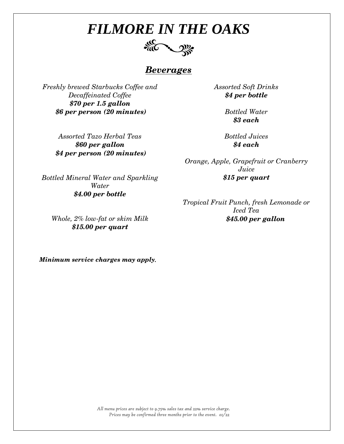

## *Beverages*

*Freshly brewed Starbucks Coffee and Decaffeinated Coffee \$70 per 1.5 gallon \$6 per person (20 minutes)* 

> *Assorted Tazo Herbal Teas \$60 per gallon \$4 per person (20 minutes)*

*Assorted Soft Drinks \$4 per bottle*

> *Bottled Water \$3 each*

*Bottled Juices \$4 each*

*Orange, Apple, Grapefruit or Cranberry Juice \$15 per quart*

*Tropical Fruit Punch, fresh Lemonade or Iced Tea \$45.00 per gallon*

*Bottled Mineral Water and Sparkling Water \$4.00 per bottle*

*Whole, 2% low-fat or skim Milk \$15.00 per quart*

*Minimum service charges may apply.*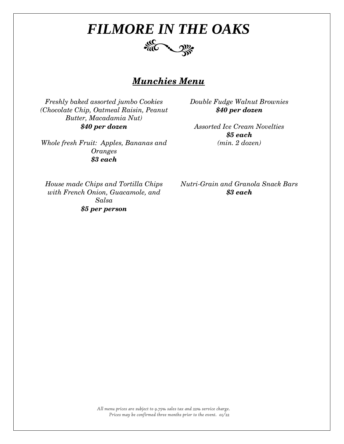

### *Munchies Menu*

*Freshly baked assorted jumbo Cookies (Chocolate Chip, Oatmeal Raisin, Peanut Butter, Macadamia Nut) \$40 per dozen*

*Whole fresh Fruit: Apples, Bananas and Oranges \$3 each*

*Double Fudge Walnut Brownies \$40 per dozen*

*Assorted Ice Cream Novelties \$5 each (min. 2 dozen)*

*House made Chips and Tortilla Chips with French Onion, Guacamole, and Salsa \$5 per person*

*Nutri-Grain and Granola Snack Bars \$3 each*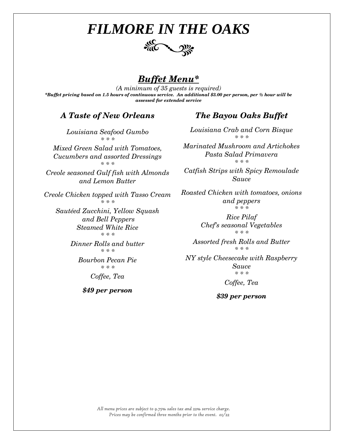

### *Buffet Menu\**

*(A minimum of 35 guests is required) \*Buffet pricing based on 1.5 hours of continuous service. An additional \$3.00 per person, per ½ hour will be assessed for extended service*

### *A Taste of New Orleans*

*Louisiana Seafood Gumbo \* \* \**

*Mixed Green Salad with Tomatoes, Cucumbers and assorted Dressings \* \* \**

*Creole seasoned Gulf fish with Almonds and Lemon Butter*

*Creole Chicken topped with Tasso Cream \* \* \**

*Sautéed Zucchini, Yellow Squash and Bell Peppers Steamed White Rice \* \* \**

> *Dinner Rolls and butter \* \* \**

> > *Bourbon Pecan Pie \* \* \**

*Coffee, Tea*

*\$49 per person*

### *The Bayou Oaks Buffet*

*Louisiana Crab and Corn Bisque \* \* \**

*Marinated Mushroom and Artichokes Pasta Salad Primavera \* \* \**

*Catfish Strips with Spicy Remoulade Sauce*

*Roasted Chicken with tomatoes, onions and peppers \* \* \**

> *Rice Pilaf Chef's seasonal Vegetables \* \* \**

*Assorted fresh Rolls and Butter \* \* \**

*NY style Cheesecake with Raspberry Sauce \* \* \**

*Coffee, Tea* 

*\$39 per person*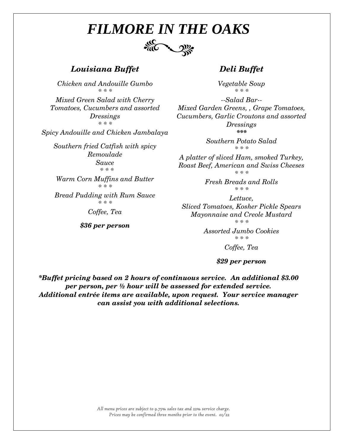

### *Louisiana Buffet*

*Chicken and Andouille Gumbo \* \* \**

*Mixed Green Salad with Cherry Tomatoes, Cucumbers and assorted Dressings \* \* \**

*Spicy Andouille and Chicken Jambalaya*

*Southern fried Catfish with spicy Remoulade Sauce \* \* \**

> *Warm Corn Muffins and Butter \* \* \**

*Bread Pudding with Rum Sauce \* \* \**

*Coffee, Tea*

*\$36 per person*

#### *Deli Buffet*

*Vegetable Soup \* \* \**

*--Salad Bar-- Mixed Garden Greens, , Grape Tomatoes, Cucumbers, Garlic Croutons and assorted Dressings \*\*\**

> *Southern Potato Salad \* \* \**

*A platter of sliced Ham, smoked Turkey, Roast Beef, American and Swiss Cheeses \* \* \**

> *Fresh Breads and Rolls \* \* \**

*Lettuce, Sliced Tomatoes, Kosher Pickle Spears Mayonnaise and Creole Mustard \* \* \**

> *Assorted Jumbo Cookies \* \* \* Coffee, Tea*

> > *\$29 per person*

*\*Buffet pricing based on 2 hours of continuous service. An additional \$3.00 per person, per ½ hour will be assessed for extended service. Additional entrée items are available, upon request. Your service manager can assist you with additional selections.*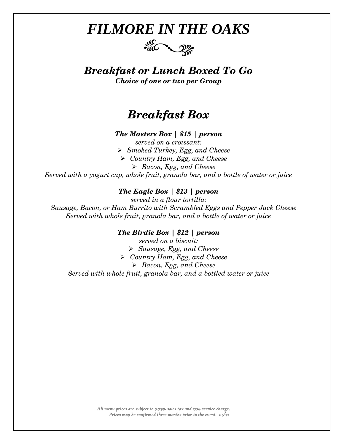

*Breakfast or Lunch Boxed To Go Choice of one or two per Group*

## *Breakfast Box*

*The Masters Box | \$15 | person*

*served on a croissant:* ➢ *Smoked Turkey, Egg, and Cheese* ➢ *Country Ham, Egg, and Cheese* ➢ *Bacon, Egg, and Cheese Served with a yogurt cup, whole fruit, granola bar, and a bottle of water or juice*

#### *The Eagle Box | \$13 | person*

*served in a flour tortilla: Sausage, Bacon, or Ham Burrito with Scrambled Eggs and Pepper Jack Cheese Served with whole fruit, granola bar, and a bottle of water or juice*

#### *The Birdie Box | \$12 | person*

*served on a biscuit:* ➢ *Sausage, Egg, and Cheese* ➢ *Country Ham, Egg, and Cheese* ➢ *Bacon, Egg, and Cheese Served with whole fruit, granola bar, and a bottled water or juice*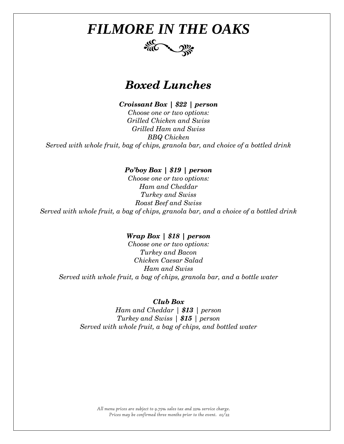

## *Boxed Lunches*

*Croissant Box | \$22 | person*

*Choose one or two options: Grilled Chicken and Swiss Grilled Ham and Swiss BBQ Chicken Served with whole fruit, bag of chips, granola bar, and choice of a bottled drink*

#### *Po'boy Box | \$19 | person*

*Choose one or two options: Ham and Cheddar Turkey and Swiss Roast Beef and Swiss Served with whole fruit, a bag of chips, granola bar, and a choice of a bottled drink*

#### *Wrap Box | \$18 | person*

*Choose one or two options: Turkey and Bacon Chicken Caesar Salad Ham and Swiss Served with whole fruit, a bag of chips, granola bar, and a bottle water*

#### *Club Box*

*Ham and Cheddar | \$13 | person Turkey and Swiss | \$15 | person Served with whole fruit, a bag of chips, and bottled water*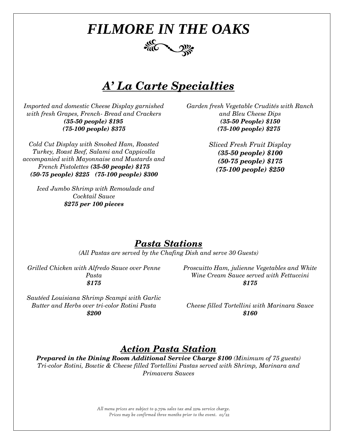

## *A' La Carte Specialties*

*Imported and domestic Cheese Display garnished with fresh Grapes, French- Bread and Crackers (35-50 people) \$195 (75-100 people) \$375*

*Cold Cut Display with Smoked Ham, Roasted Turkey, Roast Beef, Salami and Cappicolla accompanied with Mayonnaise and Mustards and French Pistolettes (35-50 people) \$175 (50-75 people) \$225 (75-100 people) \$300*

 *Iced Jumbo Shrimp with Remoulade and Cocktail Sauce \$275 per 100 pieces*

*Garden fresh Vegetable Crudités with Ranch and Bleu Cheese Dips (35-50 People) \$150 (75-100 people) \$275*

> *Sliced Fresh Fruit Display (35-50 people) \$100 (50-75 people) \$175 (75-100 people) \$250*

### *Pasta Stations*

*(All Pastas are served by the Chafing Dish and serve 30 Guests)*

*Grilled Chicken with Alfredo Sauce over Penne Pasta \$175*

*Sautéed Louisiana Shrimp Scampi with Garlic Butter and Herbs over tri-color Rotini Pasta \$200*

*Proscuitto Ham, julienne Vegetables and White Wine Cream Sauce served with Fettuccini \$175*

*Cheese filled Tortellini with Marinara Sauce \$160*

## *Action Pasta Station*

*Prepared in the Dining Room Additional Service Charge \$100 (Minimum of 75 guests) Tri-color Rotini, Bowtie & Cheese filled Tortellini Pastas served with Shrimp, Marinara and Primavera Sauces*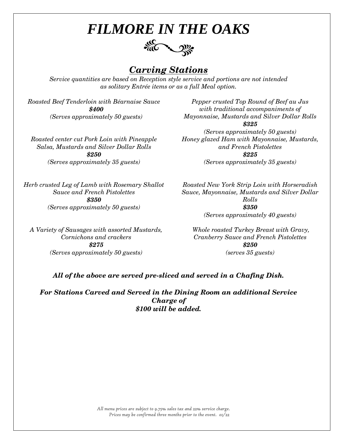

## *Carving Stations*

*Service quantities are based on Reception style service and portions are not intended as solitary Entrée items or as a full Meal option.*

*Roasted Beef Tenderloin with Béarnaise Sauce \$400 (Serves approximately 50 guests)*

*Pepper crusted Top Round of Beef au Jus with traditional accompaniments of Mayonnaise, Mustards and Silver Dollar Rolls \$325 (Serves approximately 50 guests) Honey glazed Ham with Mayonnaise, Mustards,* 

*Roasted center cut Pork Loin with Pineapple Salsa, Mustards and Silver Dollar Rolls \$250 (Serves approximately 35 guests)*

*\$225 (Serves approximately 35 guests)*

*and French Pistolettes*

*Herb crusted Leg of Lamb with Rosemary Shallot Sauce and French Pistolettes \$350 (Serves approximately 50 guests)*

*A Variety of Sausages with assorted Mustards, Cornichons and crackers \$275 (Serves approximately 50 guests)*

*Roasted New York Strip Loin with Horseradish Sauce, Mayonnaise, Mustards and Silver Dollar Rolls \$350 (Serves approximately 40 guests)*

*Whole roasted Turkey Breast with Gravy, Cranberry Sauce and French Pistolettes \$250 (serves 35 guests)*

*All of the above are served pre-sliced and served in a Chafing Dish.*

*For Stations Carved and Served in the Dining Room an additional Service Charge of \$100 will be added.*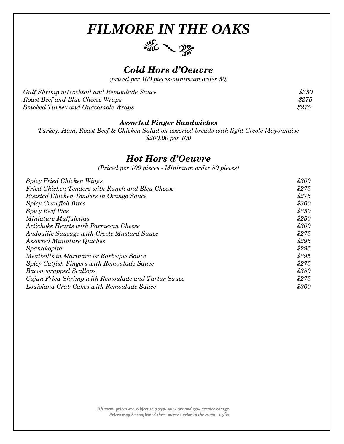



*(priced per 100 pieces-minimum order 50)*

| Gulf Shrimp w/cocktail and Remoulade Sauce | \$350 |
|--------------------------------------------|-------|
| Roast Beef and Blue Cheese Wraps           | \$275 |
| Smoked Turkey and Guacamole Wraps          | \$275 |

#### *Assorted Finger Sandwiches*

*Turkey, Ham, Roast Beef & Chicken Salad on assorted breads with light Creole Mayonnaise \$200.00 per 100*

### *Hot Hors d'Oeuvre*

*(Priced per 100 pieces - Minimum order 50 pieces)*

| \$300 |
|-------|
| \$275 |
| \$275 |
| \$300 |
| \$250 |
| \$250 |
| \$300 |
| \$275 |
| \$295 |
| \$295 |
| \$295 |
| \$275 |
| \$350 |
| \$275 |
| \$300 |
|       |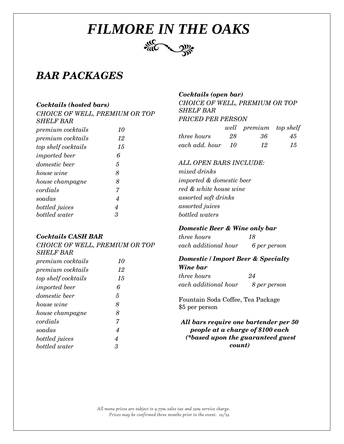

## *BAR PACKAGES*

#### *Cocktails (hosted bars)*

*CHOICE OF WELL, PREMIUM OR TOP SHELF BAR* 

| <i>premium cocktails</i> | 10 |
|--------------------------|----|
| premium cocktails        | 12 |
| top shelf cocktails      | 15 |
| <i>imported</i> beer     | 6  |
| <i>domestic</i> beer     | 5  |
| house wine               | 8  |
| house champagne          | 8  |
| cordials                 | 7  |
| soadas                   | 4  |
| bottled juices           | 4  |
| bottled water            | 3  |

#### *Cocktails CASH BAR*

|                          | CHOICE OF WELL, PREMIUM OR TOP |
|--------------------------|--------------------------------|
| <i>SHELF BAR</i>         |                                |
| <i>premium</i> cocktails | 10                             |
| <i>premium</i> cocktails | 12                             |
| top shelf cocktails      | 15                             |
| <i>imported</i> beer     | 6                              |
| domestic beer            | 5                              |
| house wine               | 8                              |
| house champagne          | 8                              |
| cordials                 | 7                              |
| soadas                   | 4                              |
| bottled juices           | 4                              |
| bottled water            | 3                              |

### *Cocktails (open bar) CHOICE OF WELL, PREMIUM OR TOP*

*SHELF BAR PRICED PER PERSON* 

|                    |      | well premium top shelf |    |
|--------------------|------|------------------------|----|
| <i>three hours</i> | -28  | -36                    | 45 |
| each add. hour     | - 10 | 12                     | 15 |

#### *ALL OPEN BARS INCLUDE:*

*mixed drinks imported & domestic beer red & white house wine assorted soft drinks assorted juices bottled waters* 

#### *Domestic Beer & Wine only bar*

*three hours 18 each additional hour 6 per person*

#### *Domestic / Import Beer & Specialty Wine bar*

| .                    |              |
|----------------------|--------------|
| three hours          | 24           |
| each additional hour | 8 per person |

Fountain Soda Coffee, Tea Package \$5 per person

*All bars require one bartender per 50 people at a charge of \$100 each (\*based upon the guaranteed guest count)*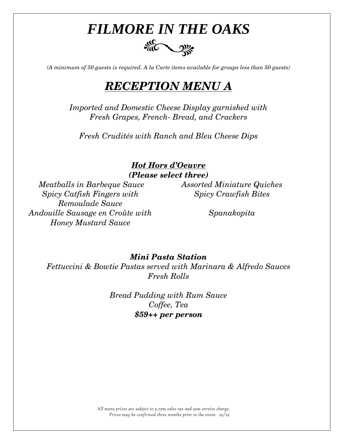

*(A minimum of 50 guests is required. A la Carte items available for groups less than 50 guests)*

## *RECEPTION MENU A*

*Imported and Domestic Cheese Display garnished with Fresh Grapes, French- Bread, and Crackers*

*Fresh Crudités with Ranch and Bleu Cheese Dips*

### *Hot Hors d'Oeuvre (Please select three)*

*Meatballs in Barbeque Sauce Assorted Miniature Quiches Spicy Catfish Fingers with Remoulade Sauce Andouille Sausage en Croûte with Honey Mustard Sauce*

*Spicy Crawfish Bites*

*Spanakopita*

### *Mini Pasta Station*

*Fettuccini & Bowtie Pastas served with Marinara & Alfredo Sauces Fresh Rolls* 

> *Bread Pudding with Rum Sauce Coffee, Tea \$59++ per person*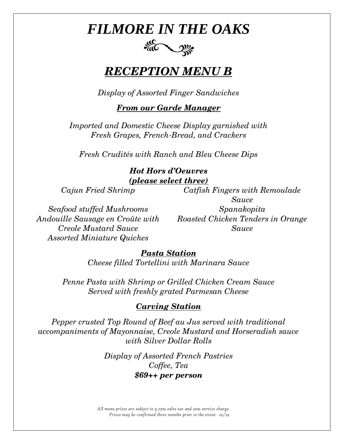# FILE CONNECTION

## *RECEPTION MENU B*

*Display of Assorted Finger Sandwiches*

### *From our Garde Manager*

*Imported and Domestic Cheese Display garnished with Fresh Grapes, French-Bread, and Crackers*

*Fresh Crudités with Ranch and Bleu Cheese Dips*

### *Hot Hors d'Oeuvres (please select three)*

*Cajun Fried Shrimp Catfish Fingers with Remoulade* 

*Seafood stuffed Mushrooms Spanakopita Andouille Sausage en Croûte with Creole Mustard Sauce Assorted Miniature Quiches*

*Sauce*

*Roasted Chicken Tenders in Orange Sauce*

### *Pasta Station*

*Cheese filled Tortellini with Marinara Sauce*

*Penne Pasta with Shrimp or Grilled Chicken Cream Sauce Served with freshly grated Parmesan Cheese*

### *Carving Station*

*Pepper crusted Top Round of Beef au Jus served with traditional accompaniments of Mayonnaise, Creole Mustard and Horseradish sauce with Silver Dollar Rolls*

> *Display of Assorted French Pastries Coffee, Tea \$69++ per person*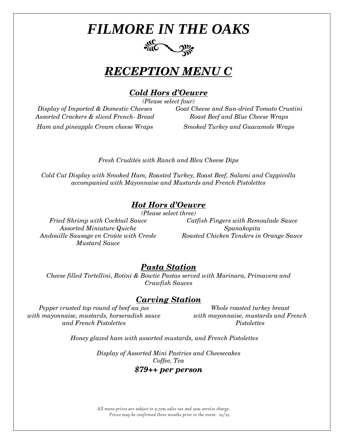

## *RECEPTION MENU C*

### *Cold Hors d'Oeuvre*

*(Please select four)*

*Assorted Crackers & sliced French- Bread Roast Beef and Blue Cheese Wraps*

*Display of Imported & Domestic Cheeses Goat Cheese and Sun-dried Tomato Crustini Ham and pineapple Cream cheese Wraps Smoked Turkey and Guacamole Wraps*

*Fresh Crudités with Ranch and Bleu Cheese Dips*

*Cold Cut Display with Smoked Ham, Roasted Turkey, Roast Beef, Salami and Cappicolla accompanied with Mayonnaise and Mustards and French Pistolettes* 

### *Hot Hors d'Oeuvre*

*(Please select three)*

*Assorted Miniature Quiche Spanakopita Mustard Sauce*

*Fried Shrimp with Cocktail Sauce Catfish Fingers with Remoulade Sauce Andouille Sausage en Croûte with Creole Roasted Chicken Tenders in Orange Sauce*

### *Pasta Station*

*Cheese filled Tortellini, Rotini & Bowtie Pastas served with Marinara, Primavera and Crawfish Sauces*

### *Carving Station*

*Pepper crusted top round of beef au jus with mayonnaise, mustards, horseradish sauce and French Pistolettes*

*Whole roasted turkey breast with mayonnaise, mustards and French Pistolettes*

*Honey glazed ham with assorted mustards, and French Pistolettes*

*Display of Assorted Mini Pastries and Cheesecakes Coffee, Tea*

### *\$79++ per person*